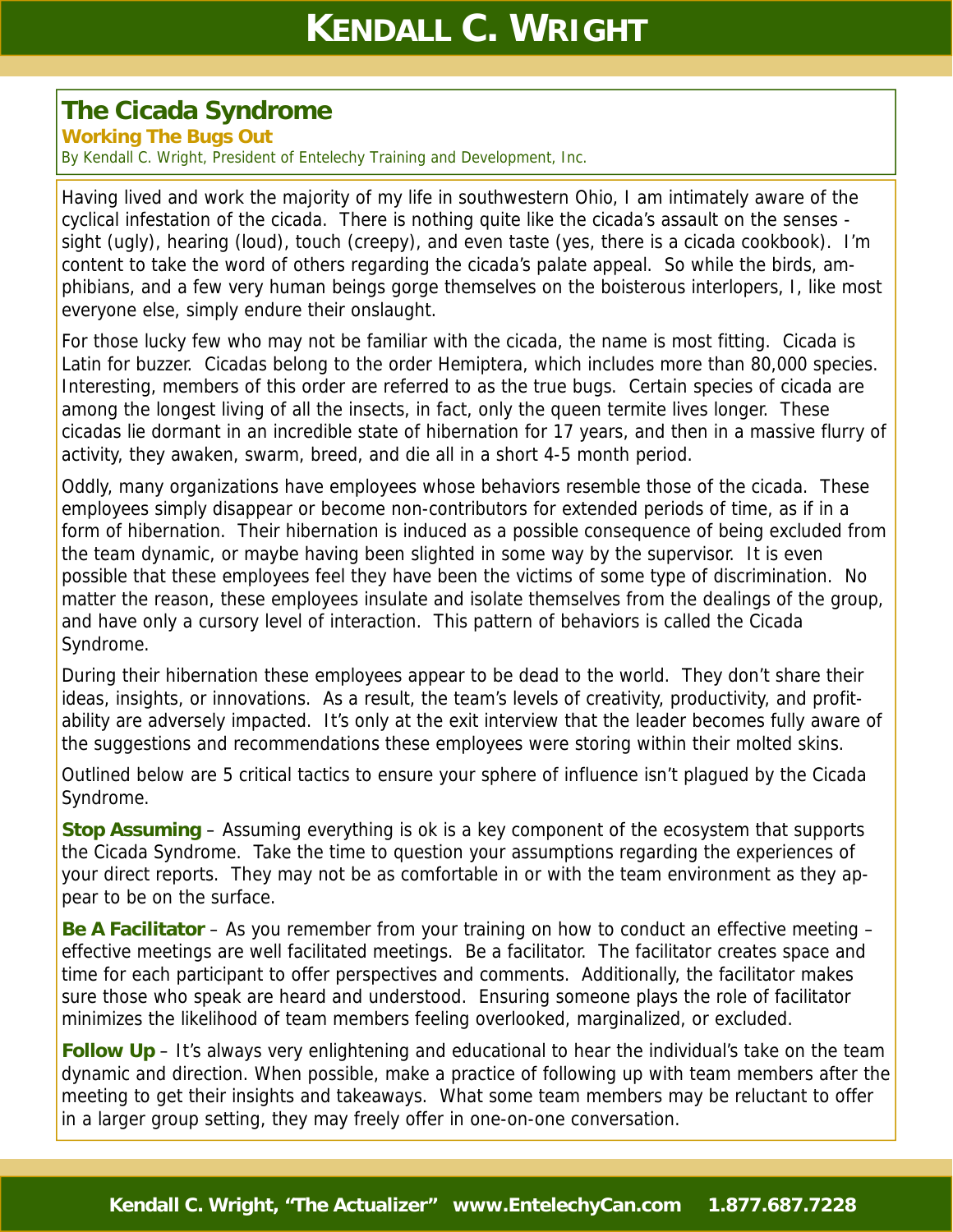## **The Cicada Syndrome**

**Working The Bugs Out** 

By Kendall C. Wright, President of Entelechy Training and Development, Inc.

Having lived and work the majority of my life in southwestern Ohio, I am intimately aware of the cyclical infestation of the cicada. There is nothing quite like the cicada's assault on the senses sight (ugly), hearing (loud), touch (creepy), and even taste (yes, there is a cicada cookbook). I'm content to take the word of others regarding the cicada's palate appeal. So while the birds, amphibians, and a few very human beings gorge themselves on the boisterous interlopers, I, like most everyone else, simply endure their onslaught.

For those lucky few who may not be familiar with the cicada, the name is most fitting. Cicada is Latin for buzzer. Cicadas belong to the order Hemiptera, which includes more than 80,000 species. Interesting, members of this order are referred to as the true bugs. Certain species of cicada are among the longest living of all the insects, in fact, only the queen termite lives longer. These cicadas lie dormant in an incredible state of hibernation for 17 years, and then in a massive flurry of activity, they awaken, swarm, breed, and die all in a short 4-5 month period.

Oddly, many organizations have employees whose behaviors resemble those of the cicada. These employees simply disappear or become non-contributors for extended periods of time, as if in a form of hibernation. Their hibernation is induced as a possible consequence of being excluded from the team dynamic, or maybe having been slighted in some way by the supervisor. It is even possible that these employees feel they have been the victims of some type of discrimination. No matter the reason, these employees insulate and isolate themselves from the dealings of the group, and have only a cursory level of interaction. This pattern of behaviors is called the Cicada Syndrome.

During their hibernation these employees appear to be dead to the world. They don't share their ideas, insights, or innovations. As a result, the team's levels of creativity, productivity, and profitability are adversely impacted. It's only at the exit interview that the leader becomes fully aware of the suggestions and recommendations these employees were storing within their molted skins.

Outlined below are 5 critical tactics to ensure your sphere of influence isn't plagued by the Cicada Syndrome.

**Stop Assuming** – Assuming everything is ok is a key component of the ecosystem that supports the Cicada Syndrome. Take the time to question your assumptions regarding the experiences of your direct reports. They may not be as comfortable in or with the team environment as they appear to be on the surface.

**Be A Facilitator** – As you remember from your training on how to conduct an effective meeting – effective meetings are well facilitated meetings. Be a facilitator. The facilitator creates space and time for each participant to offer perspectives and comments. Additionally, the facilitator makes sure those who speak are heard and understood. Ensuring someone plays the role of facilitator minimizes the likelihood of team members feeling overlooked, marginalized, or excluded.

**Follow Up** – It's always very enlightening and educational to hear the individual's take on the team dynamic and direction. When possible, make a practice of following up with team members after the meeting to get their insights and takeaways. What some team members may be reluctant to offer in a larger group setting, they may freely offer in one-on-one conversation.